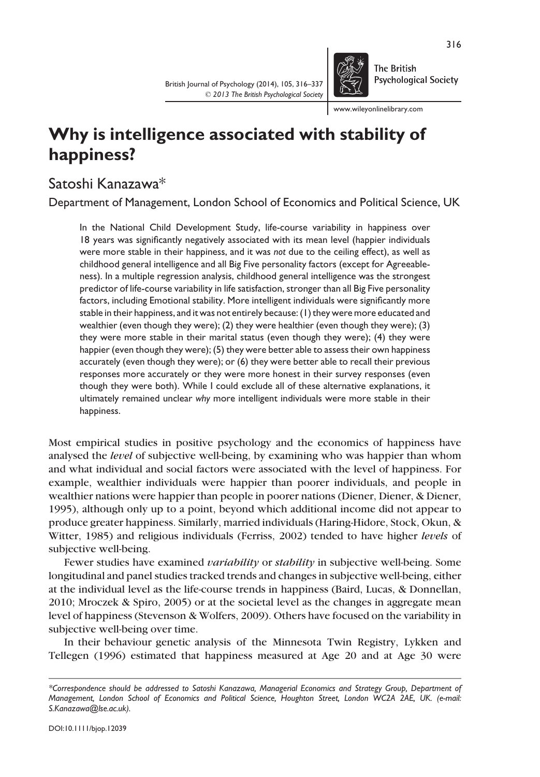

**The British Psychological Society** 

www.wileyonlinelibrary.com

# Why is intelligence associated with stability of happiness?

## Satoshi Kanazawa\*

Department of Management, London School of Economics and Political Science, UK

In the National Child Development Study, life-course variability in happiness over 18 years was significantly negatively associated with its mean level (happier individuals were more stable in their happiness, and it was not due to the ceiling effect), as well as childhood general intelligence and all Big Five personality factors (except for Agreeableness). In a multiple regression analysis, childhood general intelligence was the strongest predictor of life-course variability in life satisfaction, stronger than all Big Five personality factors, including Emotional stability. More intelligent individuals were significantly more stable in their happiness, and it was not entirely because: (1) they were more educated and wealthier (even though they were); (2) they were healthier (even though they were); (3) they were more stable in their marital status (even though they were); (4) they were happier (even though they were); (5) they were better able to assess their own happiness accurately (even though they were); or (6) they were better able to recall their previous responses more accurately or they were more honest in their survey responses (even though they were both). While I could exclude all of these alternative explanations, it ultimately remained unclear why more intelligent individuals were more stable in their happiness.

Most empirical studies in positive psychology and the economics of happiness have analysed the level of subjective well-being, by examining who was happier than whom and what individual and social factors were associated with the level of happiness. For example, wealthier individuals were happier than poorer individuals, and people in wealthier nations were happier than people in poorer nations (Diener, Diener, & Diener, 1995), although only up to a point, beyond which additional income did not appear to produce greater happiness. Similarly, married individuals (Haring-Hidore, Stock, Okun, & Witter, 1985) and religious individuals (Ferriss, 2002) tended to have higher levels of subjective well-being.

Fewer studies have examined *variability* or *stability* in subjective well-being. Some longitudinal and panel studies tracked trends and changes in subjective well-being, either at the individual level as the life-course trends in happiness (Baird, Lucas, & Donnellan, 2010; Mroczek & Spiro, 2005) or at the societal level as the changes in aggregate mean level of happiness (Stevenson & Wolfers, 2009). Others have focused on the variability in subjective well-being over time.

In their behaviour genetic analysis of the Minnesota Twin Registry, Lykken and Tellegen (1996) estimated that happiness measured at Age 20 and at Age 30 were

<sup>\*</sup>Correspondence should be addressed to Satoshi Kanazawa, Managerial Economics and Strategy Group, Department of Management, London School of Economics and Political Science, Houghton Street, London WC2A 2AE, UK. (e-mail: S.Kanazawa@lse.ac.uk).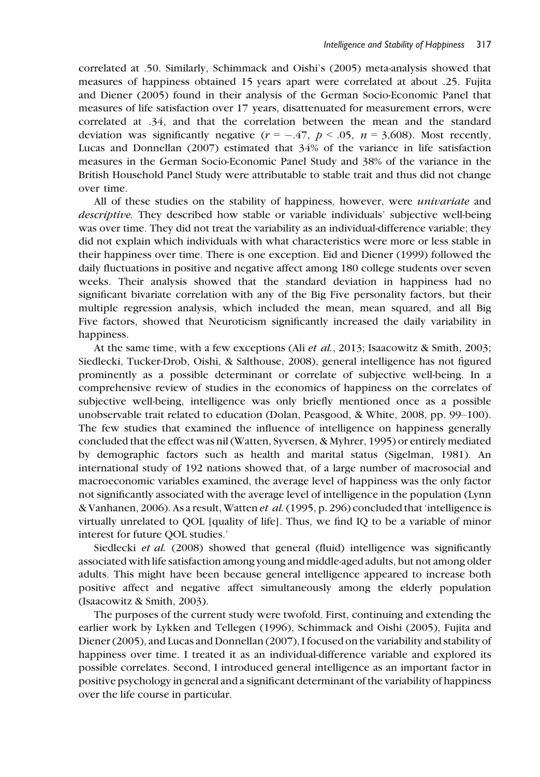correlated at .50. Similarly, Schimmack and Oishi's (2005) meta-analysis showed that measures of happiness obtained 15 years apart were correlated at about .25. Fujita and Diener (2005) found in their analysis of the German Socio-Economic Panel that measures of life satisfaction over 17 years, disattenuated for measurement errors, were correlated at .34, and that the correlation between the mean and the standard deviation was significantly negative  $(r = -.47, p < .05, n = 3,608)$ . Most recently, Lucas and Donnellan (2007) estimated that 34% of the variance in life satisfaction measures in the German Socio-Economic Panel Study and 38% of the variance in the British Household Panel Study were attributable to stable trait and thus did not change over time.

All of these studies on the stability of happiness, however, were *univariate* and descriptive. They described how stable or variable individuals' subjective well-being was over time. They did not treat the variability as an individual-difference variable; they did not explain which individuals with what characteristics were more or less stable in their happiness over time. There is one exception. Eid and Diener (1999) followed the daily fluctuations in positive and negative affect among 180 college students over seven weeks. Their analysis showed that the standard deviation in happiness had no significant bivariate correlation with any of the Big Five personality factors, but their multiple regression analysis, which included the mean, mean squared, and all Big Five factors, showed that Neuroticism significantly increased the daily variability in happiness.

At the same time, with a few exceptions (Ali et al., 2013; Isaacowitz & Smith, 2003; Siedlecki, Tucker-Drob, Oishi, & Salthouse, 2008), general intelligence has not figured prominently as a possible determinant or correlate of subjective well-being. In a comprehensive review of studies in the economics of happiness on the correlates of subjective well-being, intelligence was only briefly mentioned once as a possible unobservable trait related to education (Dolan, Peasgood, & White, 2008, pp. 99–100). The few studies that examined the influence of intelligence on happiness generally concluded that the effect was nil (Watten, Syversen, & Myhrer, 1995) or entirely mediated by demographic factors such as health and marital status (Sigelman, 1981). An international study of 192 nations showed that, of a large number of macrosocial and macroeconomic variables examined, the average level of happiness was the only factor not significantly associated with the average level of intelligence in the population (Lynn & Vanhanen, 2006). As a result, Watten et al.(1995, p. 296) concluded that 'intelligence is virtually unrelated to QOL [quality of life]. Thus, we find IQ to be a variable of minor interest for future QOL studies.'

Siedlecki et al. (2008) showed that general (fluid) intelligence was significantly associated with life satisfaction among young and middle-aged adults, but not among older adults. This might have been because general intelligence appeared to increase both positive affect and negative affect simultaneously among the elderly population (Isaacowitz & Smith, 2003).

The purposes of the current study were twofold. First, continuing and extending the earlier work by Lykken and Tellegen (1996), Schimmack and Oishi (2005), Fujita and Diener (2005), and Lucas and Donnellan (2007), I focused on the variability and stability of happiness over time. I treated it as an individual-difference variable and explored its possible correlates. Second, I introduced general intelligence as an important factor in positive psychology in general and a significant determinant of the variability of happiness over the life course in particular.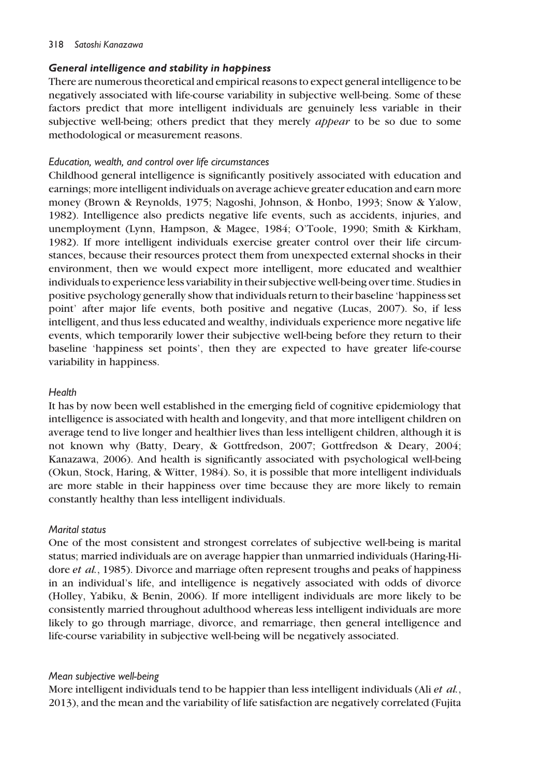#### 318 Satoshi Kanazawa

#### General intelligence and stability in happiness

There are numerous theoretical and empirical reasons to expect general intelligence to be negatively associated with life-course variability in subjective well-being. Some of these factors predict that more intelligent individuals are genuinely less variable in their subjective well-being; others predict that they merely *appear* to be so due to some methodological or measurement reasons.

#### Education, wealth, and control over life circumstances

Childhood general intelligence is significantly positively associated with education and earnings; more intelligent individuals on average achieve greater education and earn more money (Brown & Reynolds, 1975; Nagoshi, Johnson, & Honbo, 1993; Snow & Yalow, 1982). Intelligence also predicts negative life events, such as accidents, injuries, and unemployment (Lynn, Hampson, & Magee, 1984; O'Toole, 1990; Smith & Kirkham, 1982). If more intelligent individuals exercise greater control over their life circumstances, because their resources protect them from unexpected external shocks in their environment, then we would expect more intelligent, more educated and wealthier individuals to experience less variability in their subjective well-being over time. Studies in positive psychology generally show that individuals return to their baseline 'happiness set point' after major life events, both positive and negative (Lucas, 2007). So, if less intelligent, and thus less educated and wealthy, individuals experience more negative life events, which temporarily lower their subjective well-being before they return to their baseline 'happiness set points', then they are expected to have greater life-course variability in happiness.

#### **Health**

It has by now been well established in the emerging field of cognitive epidemiology that intelligence is associated with health and longevity, and that more intelligent children on average tend to live longer and healthier lives than less intelligent children, although it is not known why (Batty, Deary, & Gottfredson, 2007; Gottfredson & Deary, 2004; Kanazawa, 2006). And health is significantly associated with psychological well-being (Okun, Stock, Haring, & Witter, 1984). So, it is possible that more intelligent individuals are more stable in their happiness over time because they are more likely to remain constantly healthy than less intelligent individuals.

#### Marital status

One of the most consistent and strongest correlates of subjective well-being is marital status; married individuals are on average happier than unmarried individuals (Haring-Hidore *et al.*, 1985). Divorce and marriage often represent troughs and peaks of happiness in an individual's life, and intelligence is negatively associated with odds of divorce (Holley, Yabiku, & Benin, 2006). If more intelligent individuals are more likely to be consistently married throughout adulthood whereas less intelligent individuals are more likely to go through marriage, divorce, and remarriage, then general intelligence and life-course variability in subjective well-being will be negatively associated.

#### Mean subjective well-being

More intelligent individuals tend to be happier than less intelligent individuals (Ali et al., 2013), and the mean and the variability of life satisfaction are negatively correlated (Fujita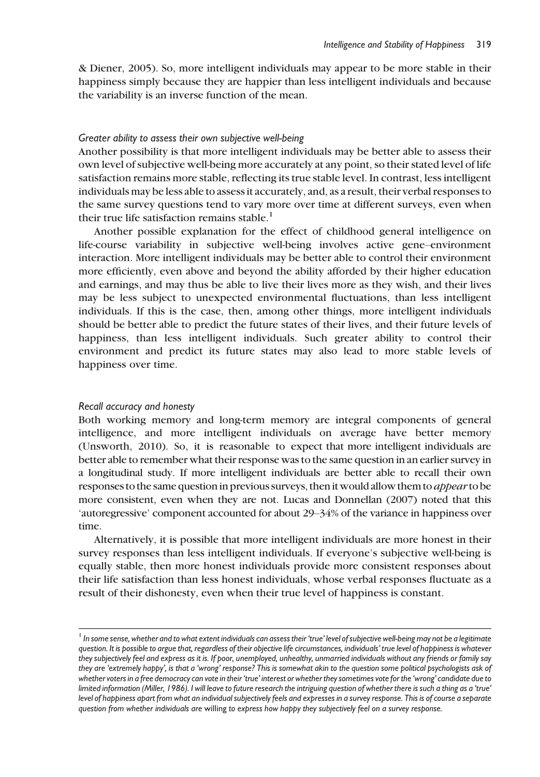& Diener, 2005). So, more intelligent individuals may appear to be more stable in their happiness simply because they are happier than less intelligent individuals and because the variability is an inverse function of the mean.

#### Greater ability to assess their own subjective well-being

Another possibility is that more intelligent individuals may be better able to assess their own level of subjective well-being more accurately at any point, so their stated level of life satisfaction remains more stable, reflecting its true stable level. In contrast, less intelligent individuals may be less able to assess it accurately, and, as a result, their verbal responses to the same survey questions tend to vary more over time at different surveys, even when their true life satisfaction remains stable. $<sup>1</sup>$ </sup>

Another possible explanation for the effect of childhood general intelligence on life-course variability in subjective well-being involves active gene–environment interaction. More intelligent individuals may be better able to control their environment more efficiently, even above and beyond the ability afforded by their higher education and earnings, and may thus be able to live their lives more as they wish, and their lives may be less subject to unexpected environmental fluctuations, than less intelligent individuals. If this is the case, then, among other things, more intelligent individuals should be better able to predict the future states of their lives, and their future levels of happiness, than less intelligent individuals. Such greater ability to control their environment and predict its future states may also lead to more stable levels of happiness over time.

#### Recall accuracy and honesty

Both working memory and long-term memory are integral components of general intelligence, and more intelligent individuals on average have better memory (Unsworth, 2010). So, it is reasonable to expect that more intelligent individuals are better able to remember what their response was to the same question in an earlier survey in a longitudinal study. If more intelligent individuals are better able to recall their own responses to the same question in previous surveys, then it would allow them to *appear* to be more consistent, even when they are not. Lucas and Donnellan (2007) noted that this 'autoregressive' component accounted for about 29–34% of the variance in happiness over time.

Alternatively, it is possible that more intelligent individuals are more honest in their survey responses than less intelligent individuals. If everyone's subjective well-being is equally stable, then more honest individuals provide more consistent responses about their life satisfaction than less honest individuals, whose verbal responses fluctuate as a result of their dishonesty, even when their true level of happiness is constant.

 $^1$  In some sense, whether and to what extent individuals can assess their 'true' level of subjective well-being may not be a legitimate question. It is possible to argue that, regardless of their objective life circumstances, individuals' true level of happiness is whatever they subjectively feel and express as it is. If poor, unemployed, unhealthy, unmarried individuals without any friends or family say they are 'extremely happy', is that a 'wrong' response? This is somewhat akin to the question some political psychologists ask of whether voters in a free democracy can vote in their 'true' interest or whether they sometimes vote for the 'wrong' candidate due to limited information (Miller, 1986). I will leave to future research the intriguing question of whether there is such a thing as a 'true' level of happiness apart from what an individual subjectively feels and expresses in a survey response. This is of course a separate question from whether individuals are willing to express how happy they subjectively feel on a survey response.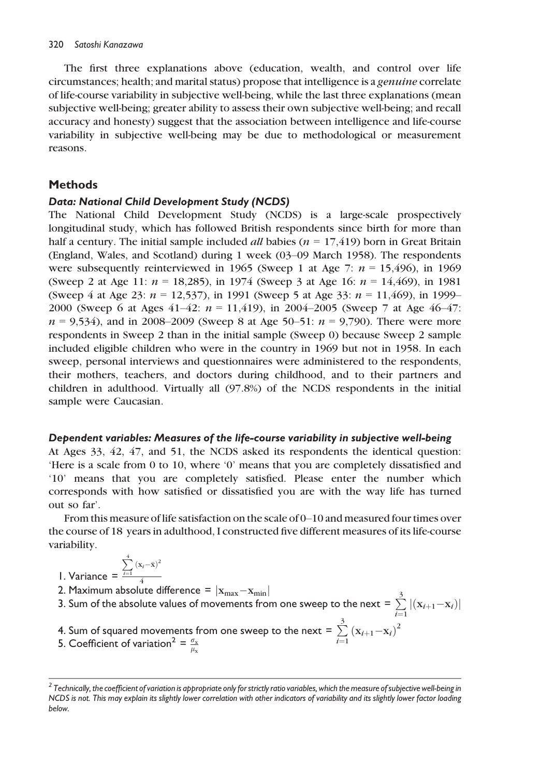The first three explanations above (education, wealth, and control over life circumstances; health; and marital status) propose that intelligence is a genuine correlate of life-course variability in subjective well-being, while the last three explanations (mean subjective well-being; greater ability to assess their own subjective well-being; and recall accuracy and honesty) suggest that the association between intelligence and life-course variability in subjective well-being may be due to methodological or measurement reasons.

## Methods

## Data: National Child Development Study (NCDS)

The National Child Development Study (NCDS) is a large-scale prospectively longitudinal study, which has followed British respondents since birth for more than half a century. The initial sample included *all* babies ( $n = 17,419$ ) born in Great Britain (England, Wales, and Scotland) during 1 week (03–09 March 1958). The respondents were subsequently reinterviewed in 1965 (Sweep 1 at Age 7:  $n = 15,496$ ), in 1969 (Sweep 2 at Age 11:  $n = 18,285$ ), in 1974 (Sweep 3 at Age 16:  $n = 14,469$ ), in 1981 (Sweep 4 at Age 23:  $n = 12,537$ ), in 1991 (Sweep 5 at Age 33:  $n = 11,469$ ), in 1999– 2000 (Sweep 6 at Ages  $41-42$ :  $n = 11,419$ ), in 2004–2005 (Sweep 7 at Age  $46-47$ :  $n = 9,534$ ), and in 2008–2009 (Sweep 8 at Age 50–51:  $n = 9,790$ ). There were more respondents in Sweep 2 than in the initial sample (Sweep 0) because Sweep 2 sample included eligible children who were in the country in 1969 but not in 1958. In each sweep, personal interviews and questionnaires were administered to the respondents, their mothers, teachers, and doctors during childhood, and to their partners and children in adulthood. Virtually all (97.8%) of the NCDS respondents in the initial sample were Caucasian.

#### Dependent variables: Measures of the life-course variability in subjective well-being

At Ages 33, 42, 47, and 51, the NCDS asked its respondents the identical question: 'Here is a scale from 0 to 10, where '0' means that you are completely dissatisfied and '10' means that you are completely satisfied. Please enter the number which corresponds with how satisfied or dissatisfied you are with the way life has turned out so far'.

From this measure of life satisfaction on the scale of 0–10 and measured four times over the course of 18 years in adulthood, I constructed five different measures of its life-course variability.

1. Variance = 
$$
\frac{\sum_{i=1}^{4} (x_i - \bar{x})^2}{4}
$$

2. Maximum absolute difference =  $|x_{max}-x_{min}|$ 

- 2. Flaximum absolute ulter ence  $= |A_{\text{max}} A_{\text{min}}|$ <br>3. Sum of the absolute values of movements from one sweep to the next  $=$   $\sum$  $\sum_{i=1} |(\mathbf{x}_{i+1} - \mathbf{x}_i)|$
- 4. Sum of squared movements from one sweep to the next =  $\sum^{3}$  $\sum_{i=1}^{5} (x_{i+1} - x_i)^2$
- 5. Coefficient of variation<sup>2</sup> =  $\frac{\sigma_x}{\mu_x}$

 $2$  Technically, the coefficient of variation is appropriate only for strictly ratio variables, which the measure of subjective well-being in NCDS is not. This may explain its slightly lower correlation with other indicators of variability and its slightly lower factor loading below.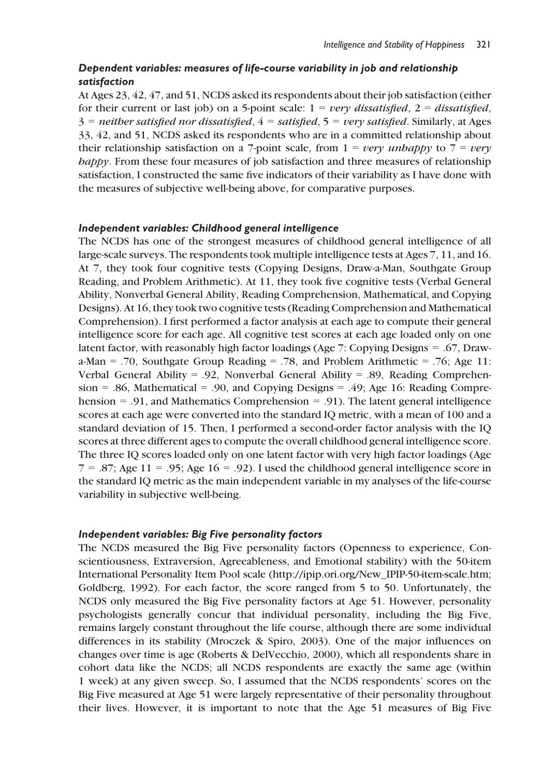## Dependent variables: measures of life-course variability in job and relationship satisfaction

At Ages 23, 42, 47, and 51, NCDS asked its respondents about their job satisfaction (either for their current or last job) on a 5-point scale:  $1 = very dissatisfied$ ,  $2 = dissatisfied$ ,  $3$  = neither satisfied nor dissatisfied,  $4$  = satisfied,  $5$  = very satisfied. Similarly, at Ages 33, 42, and 51, NCDS asked its respondents who are in a committed relationship about their relationship satisfaction on a 7-point scale, from  $1 = very$  unhappy to  $7 = very$ happy. From these four measures of job satisfaction and three measures of relationship satisfaction, I constructed the same five indicators of their variability as I have done with the measures of subjective well-being above, for comparative purposes.

#### Independent variables: Childhood general intelligence

The NCDS has one of the strongest measures of childhood general intelligence of all large-scale surveys. The respondents took multiple intelligence tests at Ages 7, 11, and 16. At 7, they took four cognitive tests (Copying Designs, Draw-a-Man, Southgate Group Reading, and Problem Arithmetic). At 11, they took five cognitive tests (Verbal General Ability, Nonverbal General Ability, Reading Comprehension, Mathematical, and Copying Designs). At 16, they took two cognitive tests (Reading Comprehension and Mathematical Comprehension). I first performed a factor analysis at each age to compute their general intelligence score for each age. All cognitive test scores at each age loaded only on one latent factor, with reasonably high factor loadings (Age 7: Copying Designs = .67, Drawa-Man = .70, Southgate Group Reading = .78, and Problem Arithmetic = .76; Age 11: Verbal General Ability = .92, Nonverbal General Ability = .89, Reading Comprehension  $= .86$ , Mathematical  $= .90$ , and Copying Designs  $= .49$ ; Age 16: Reading Comprehension = .91, and Mathematics Comprehension = .91). The latent general intelligence scores at each age were converted into the standard IQ metric, with a mean of 100 and a standard deviation of 15. Then, I performed a second-order factor analysis with the IQ scores at three different ages to compute the overall childhood general intelligence score. The three IQ scores loaded only on one latent factor with very high factor loadings (Age  $7 = .87$ ; Age  $11 = .95$ ; Age  $16 = .92$ ). I used the childhood general intelligence score in the standard IQ metric as the main independent variable in my analyses of the life-course variability in subjective well-being.

#### Independent variables: Big Five personality factors

The NCDS measured the Big Five personality factors (Openness to experience, Conscientiousness, Extraversion, Agreeableness, and Emotional stability) with the 50-item International Personality Item Pool scale (http://ipip.ori.org/New\_IPIP-50-item-scale.htm; Goldberg, 1992). For each factor, the score ranged from 5 to 50. Unfortunately, the NCDS only measured the Big Five personality factors at Age 51. However, personality psychologists generally concur that individual personality, including the Big Five, remains largely constant throughout the life course, although there are some individual differences in its stability (Mroczek & Spiro, 2003). One of the major influences on changes over time is age (Roberts & DelVecchio, 2000), which all respondents share in cohort data like the NCDS; all NCDS respondents are exactly the same age (within 1 week) at any given sweep. So, I assumed that the NCDS respondents' scores on the Big Five measured at Age 51 were largely representative of their personality throughout their lives. However, it is important to note that the Age 51 measures of Big Five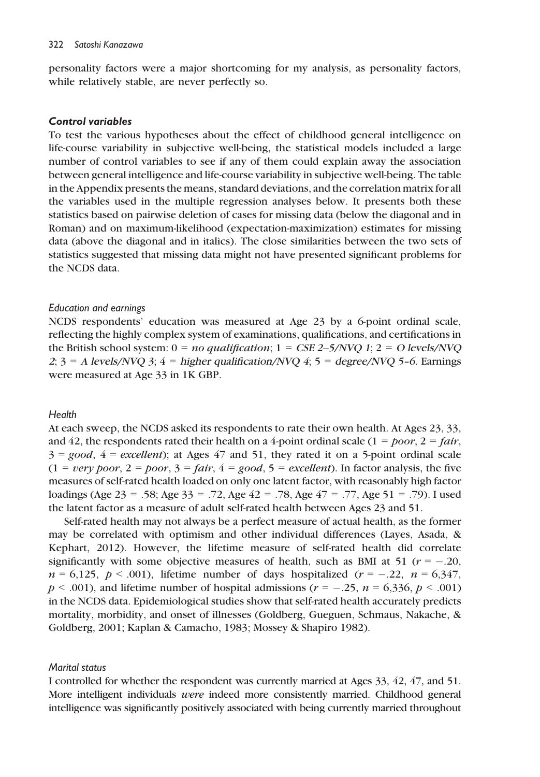personality factors were a major shortcoming for my analysis, as personality factors, while relatively stable, are never perfectly so.

#### Control variables

To test the various hypotheses about the effect of childhood general intelligence on life-course variability in subjective well-being, the statistical models included a large number of control variables to see if any of them could explain away the association between general intelligence and life-course variability in subjective well-being. The table in the Appendix presents the means, standard deviations, and the correlation matrix for all the variables used in the multiple regression analyses below. It presents both these statistics based on pairwise deletion of cases for missing data (below the diagonal and in Roman) and on maximum-likelihood (expectation-maximization) estimates for missing data (above the diagonal and in italics). The close similarities between the two sets of statistics suggested that missing data might not have presented significant problems for the NCDS data.

#### Education and earnings

NCDS respondents' education was measured at Age 23 by a 6-point ordinal scale, reflecting the highly complex system of examinations, qualifications, and certifications in the British school system:  $0 = no \,\text{qualification}$ ;  $1 = CSE 2 - 5/NVO 1$ ;  $2 = O \,\text{levels}/NVO$ 2;  $3 = A$  levels/NVQ 3;  $4 =$  higher qualification/NVQ  $4$ ;  $5 =$  degree/NVQ 5-6. Earnings were measured at Age 33 in 1K GBP.

#### **Health**

At each sweep, the NCDS asked its respondents to rate their own health. At Ages 23, 33, and 42, the respondents rated their health on a 4-point ordinal scale (1 = poor, 2 = fair,  $3 = good$ ,  $4 = excellent$ ; at Ages 47 and 51, they rated it on a 5-point ordinal scale  $(1 = very\ poor, 2 = poor, 3 = fair, 4 = good, 5 = excellent)$ . In factor analysis, the five measures of self-rated health loaded on only one latent factor, with reasonably high factor loadings (Age 23 = .58; Age 33 = .72, Age 42 = .78, Age 47 = .77, Age 51 = .79). I used the latent factor as a measure of adult self-rated health between Ages 23 and 51.

Self-rated health may not always be a perfect measure of actual health, as the former may be correlated with optimism and other individual differences (Layes, Asada, & Kephart, 2012). However, the lifetime measure of self-rated health did correlate significantly with some objective measures of health, such as BMI at 51 ( $r = -.20$ ,  $n = 6,125, p < .001$ , lifetime number of days hospitalized  $(r = -.22, n = 6,347,$  $p < .001$ ), and lifetime number of hospital admissions ( $r = -.25$ ,  $n = 6,336$ ,  $p < .001$ ) in the NCDS data. Epidemiological studies show that self-rated health accurately predicts mortality, morbidity, and onset of illnesses (Goldberg, Gueguen, Schmaus, Nakache, & Goldberg, 2001; Kaplan & Camacho, 1983; Mossey & Shapiro 1982).

#### Marital status

I controlled for whether the respondent was currently married at Ages 33, 42, 47, and 51. More intelligent individuals were indeed more consistently married. Childhood general intelligence was significantly positively associated with being currently married throughout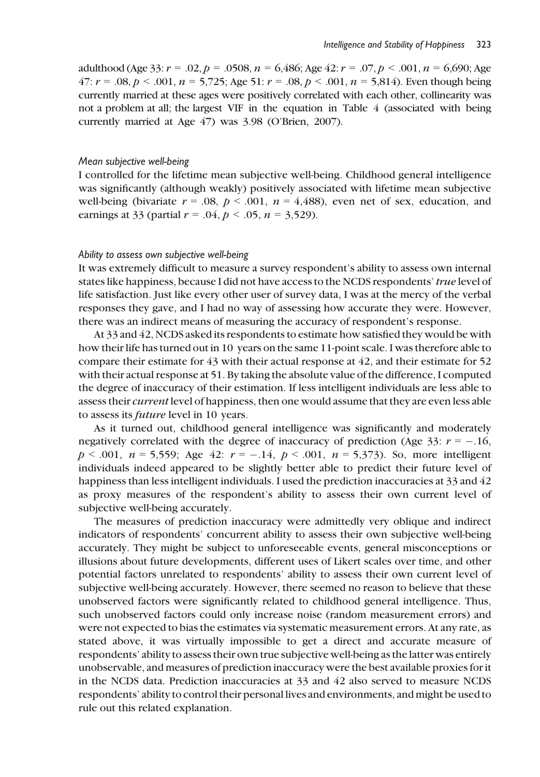adulthood (Age 33:  $r = .02$ ,  $p = .0508$ ,  $n = 6,486$ ; Age 42:  $r = .07$ ,  $p < .001$ ,  $n = 6,690$ ; Age 47:  $r = .08$ ,  $p < .001$ ,  $n = 5,725$ ; Age 51:  $r = .08$ ,  $p < .001$ ,  $n = 5,814$ ). Even though being currently married at these ages were positively correlated with each other, collinearity was not a problem at all; the largest VIF in the equation in Table 4 (associated with being currently married at Age 47) was 3.98 (O'Brien, 2007).

#### Mean subjective well-being

I controlled for the lifetime mean subjective well-being. Childhood general intelligence was significantly (although weakly) positively associated with lifetime mean subjective well-being (bivariate  $r = .08$ ,  $p < .001$ ,  $n = 4,488$ ), even net of sex, education, and earnings at 33 (partial  $r = .04$ ,  $p < .05$ ,  $n = 3,529$ ).

#### Ability to assess own subjective well-being

It was extremely difficult to measure a survey respondent's ability to assess own internal states like happiness, because I did not have access to the NCDS respondents' true level of life satisfaction. Just like every other user of survey data, I was at the mercy of the verbal responses they gave, and I had no way of assessing how accurate they were. However, there was an indirect means of measuring the accuracy of respondent's response.

At 33 and 42, NCDS asked its respondents to estimate how satisfied they would be with how their life has turned out in 10 years on the same 11-point scale. I was therefore able to compare their estimate for 43 with their actual response at 42, and their estimate for 52 with their actual response at 51. By taking the absolute value of the difference, I computed the degree of inaccuracy of their estimation. If less intelligent individuals are less able to assess their *current* level of happiness, then one would assume that they are even less able to assess its future level in 10 years.

As it turned out, childhood general intelligence was significantly and moderately negatively correlated with the degree of inaccuracy of prediction (Age 33:  $r = -.16$ ,  $p < .001$ ,  $n = 5,559$ ; Age 42:  $r = -.14$ ,  $p < .001$ ,  $n = 5,373$ ). So, more intelligent individuals indeed appeared to be slightly better able to predict their future level of happiness than less intelligent individuals. I used the prediction inaccuracies at 33 and 42 as proxy measures of the respondent's ability to assess their own current level of subjective well-being accurately.

The measures of prediction inaccuracy were admittedly very oblique and indirect indicators of respondents' concurrent ability to assess their own subjective well-being accurately. They might be subject to unforeseeable events, general misconceptions or illusions about future developments, different uses of Likert scales over time, and other potential factors unrelated to respondents' ability to assess their own current level of subjective well-being accurately. However, there seemed no reason to believe that these unobserved factors were significantly related to childhood general intelligence. Thus, such unobserved factors could only increase noise (random measurement errors) and were not expected to bias the estimates via systematic measurement errors. At any rate, as stated above, it was virtually impossible to get a direct and accurate measure of respondents' ability to assess their own true subjective well-being as the latter was entirely unobservable, and measures of prediction inaccuracy were the best available proxies for it in the NCDS data. Prediction inaccuracies at 33 and 42 also served to measure NCDS respondents' ability to control their personal lives and environments, and might be used to rule out this related explanation.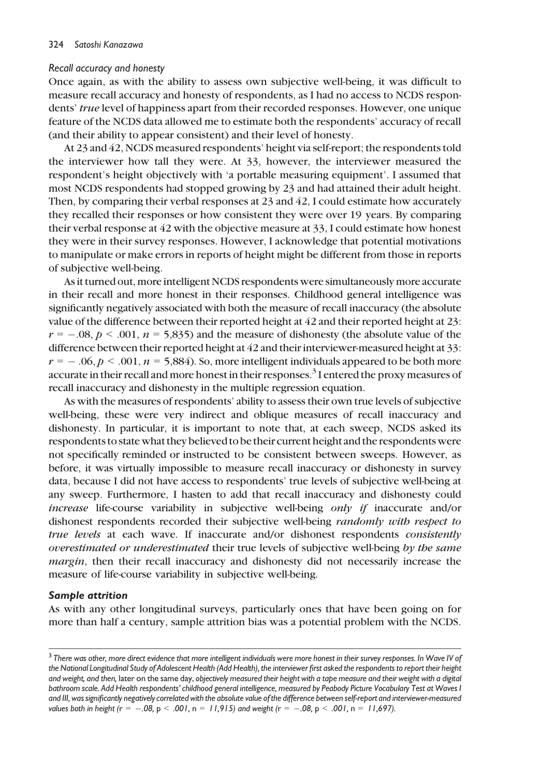#### Recall accuracy and honesty

Once again, as with the ability to assess own subjective well-being, it was difficult to measure recall accuracy and honesty of respondents, as I had no access to NCDS respondents' true level of happiness apart from their recorded responses. However, one unique feature of the NCDS data allowed me to estimate both the respondents' accuracy of recall (and their ability to appear consistent) and their level of honesty.

At 23 and 42, NCDS measured respondents' height via self-report; the respondents told the interviewer how tall they were. At 33, however, the interviewer measured the respondent's height objectively with 'a portable measuring equipment'. I assumed that most NCDS respondents had stopped growing by 23 and had attained their adult height. Then, by comparing their verbal responses at 23 and 42, I could estimate how accurately they recalled their responses or how consistent they were over 19 years. By comparing their verbal response at 42 with the objective measure at 33, I could estimate how honest they were in their survey responses. However, I acknowledge that potential motivations to manipulate or make errors in reports of height might be different from those in reports of subjective well-being.

As it turned out, more intelligent NCDS respondents were simultaneously more accurate in their recall and more honest in their responses. Childhood general intelligence was significantly negatively associated with both the measure of recall inaccuracy (the absolute value of the difference between their reported height at 42 and their reported height at 23:  $r = -.08$ ,  $p < .001$ ,  $n = 5.835$ ) and the measure of dishonesty (the absolute value of the difference between their reported height at 42 and their interviewer-measured height at 33:  $r = -.06, p < .001, n = 5,884$ . So, more intelligent individuals appeared to be both more accurate in their recall and more honest in their responses.<sup>3</sup> I entered the proxy measures of recall inaccuracy and dishonesty in the multiple regression equation.

As with the measures of respondents' ability to assess their own true levels of subjective well-being, these were very indirect and oblique measures of recall inaccuracy and dishonesty. In particular, it is important to note that, at each sweep, NCDS asked its respondents to state what they believed to be their current height and the respondents were not specifically reminded or instructed to be consistent between sweeps. However, as before, it was virtually impossible to measure recall inaccuracy or dishonesty in survey data, because I did not have access to respondents' true levels of subjective well-being at any sweep. Furthermore, I hasten to add that recall inaccuracy and dishonesty could increase life-course variability in subjective well-being only if inaccurate and/or dishonest respondents recorded their subjective well-being *randomly with respect to* true levels at each wave. If inaccurate and/or dishonest respondents consistently overestimated or underestimated their true levels of subjective well-being by the same margin, then their recall inaccuracy and dishonesty did not necessarily increase the measure of life-course variability in subjective well-being.

#### Sample attrition

As with any other longitudinal surveys, particularly ones that have been going on for more than half a century, sample attrition bias was a potential problem with the NCDS.

 $3$  There was other, more direct evidence that more intelligent individuals were more honest in their survey responses. In Wave IV of the National Longitudinal Study of Adolescent Health (Add Health), the interviewer first asked the respondents to report their height and weight, and then, later on the same day, objectively measured their height with a tape measure and their weight with a digital bathroom scale. Add Health respondents' childhood general intelligence, measured by Peabody Picture Vocabulary Test at Waves I and III, was significantly negatively correlated with the absolute value of the difference between self-report and interviewer-measured values both in height  $(r = -.08, p < .001, n = 11,915)$  and weight  $(r = -.08, p < .001, n = 11,697)$ .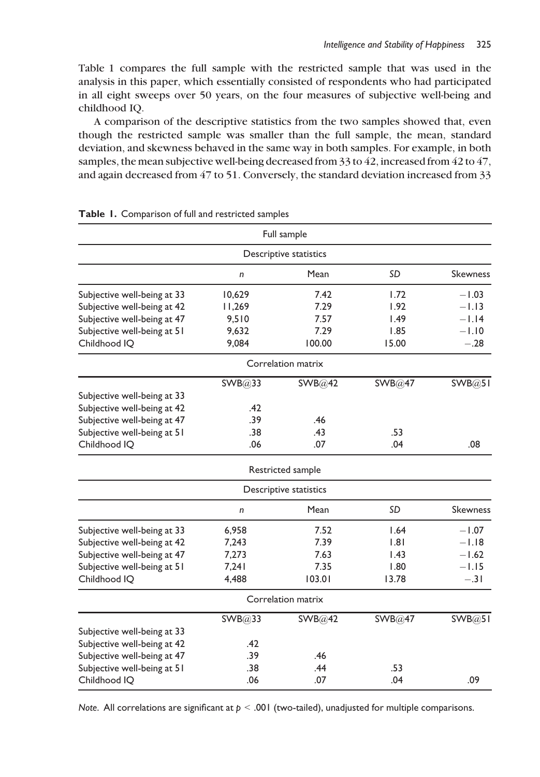Table 1 compares the full sample with the restricted sample that was used in the analysis in this paper, which essentially consisted of respondents who had participated in all eight sweeps over 50 years, on the four measures of subjective well-being and childhood IQ.

A comparison of the descriptive statistics from the two samples showed that, even though the restricted sample was smaller than the full sample, the mean, standard deviation, and skewness behaved in the same way in both samples. For example, in both samples, the mean subjective well-being decreased from 33 to 42, increased from 42 to 47, and again decreased from 47 to 51. Conversely, the standard deviation increased from 33

|                             |          | Full sample            |            |                 |  |  |  |  |
|-----------------------------|----------|------------------------|------------|-----------------|--|--|--|--|
|                             |          | Descriptive statistics |            |                 |  |  |  |  |
|                             | n        | Mean                   | SD         | <b>Skewness</b> |  |  |  |  |
| Subjective well-being at 33 | 10,629   | 7.42                   | 1.72       | $-1.03$         |  |  |  |  |
| Subjective well-being at 42 | 11,269   | 7.29                   | 1.92       | $-1.13$         |  |  |  |  |
| Subjective well-being at 47 | 9.510    | 7.57                   | 1.49       | $-1.14$         |  |  |  |  |
| Subjective well-being at 51 | 9.632    | 7.29                   | 1.85       | $-1.10$         |  |  |  |  |
| Childhood IQ                | 9,084    | 100.00                 | 15.00      | $-.28$          |  |  |  |  |
|                             |          | Correlation matrix     |            |                 |  |  |  |  |
|                             | SWB(a)33 | SWB@42                 | SWB@47     | SWB@51          |  |  |  |  |
| Subjective well-being at 33 |          |                        |            |                 |  |  |  |  |
| Subjective well-being at 42 | .42      |                        |            |                 |  |  |  |  |
| Subjective well-being at 47 | .39      | .46                    |            |                 |  |  |  |  |
| Subjective well-being at 51 | .38      | .43                    | .53        |                 |  |  |  |  |
| Childhood IO                | .06      | .07                    | .04<br>.08 |                 |  |  |  |  |
|                             |          | Restricted sample      |            |                 |  |  |  |  |
|                             |          | Descriptive statistics |            |                 |  |  |  |  |
|                             | n        | Mean                   | SD         | Skewness        |  |  |  |  |
| Subjective well-being at 33 | 6,958    | 7.52                   | 1.64       | $-1.07$         |  |  |  |  |
| Subjective well-being at 42 | 7,243    | 7.39                   | 1.81       | $-1.18$         |  |  |  |  |
| Subjective well-being at 47 | 7.273    | 7.63                   | 1.43       | $-1.62$         |  |  |  |  |
| Subjective well-being at 51 | 7.241    | 7.35                   | 1.80       | $-1.15$         |  |  |  |  |
| Childhood IQ                | 4,488    | 103.01                 | 13.78      | $-.31$          |  |  |  |  |
|                             |          | Correlation matrix     |            |                 |  |  |  |  |
|                             | SWB(a)33 | SWB@42                 | SWB@47     | SWB $@51$       |  |  |  |  |
| Subjective well-being at 33 |          |                        |            |                 |  |  |  |  |
| Subjective well-being at 42 | .42      |                        |            |                 |  |  |  |  |
| Subjective well-being at 47 | .39      | .46                    |            |                 |  |  |  |  |
| Subjective well-being at 51 | .38      | .44                    | .53        |                 |  |  |  |  |
| Childhood IO                | .06      | .07                    | .04        | .09             |  |  |  |  |

#### Table 1. Comparison of full and restricted samples

Note. All correlations are significant at  $p < .001$  (two-tailed), unadjusted for multiple comparisons.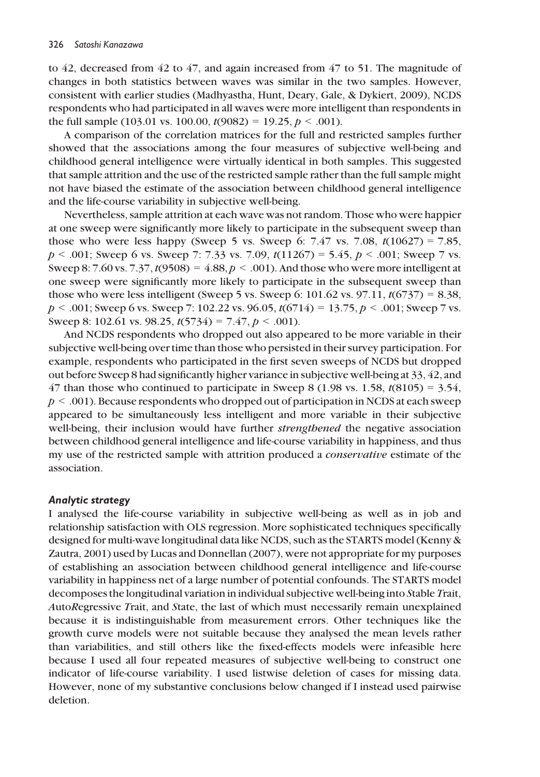to 42, decreased from 42 to 47, and again increased from 47 to 51. The magnitude of changes in both statistics between waves was similar in the two samples. However, consistent with earlier studies (Madhyastha, Hunt, Deary, Gale, & Dykiert, 2009), NCDS respondents who had participated in all waves were more intelligent than respondents in the full sample (103.01 vs. 100.00,  $t(9082) = 19.25, p \le .001$ ).

A comparison of the correlation matrices for the full and restricted samples further showed that the associations among the four measures of subjective well-being and childhood general intelligence were virtually identical in both samples. This suggested that sample attrition and the use of the restricted sample rather than the full sample might not have biased the estimate of the association between childhood general intelligence and the life-course variability in subjective well-being.

Nevertheless, sample attrition at each wave was not random. Those who were happier at one sweep were significantly more likely to participate in the subsequent sweep than those who were less happy (Sweep 5 vs. Sweep 6: 7.47 vs. 7.08,  $t(10627) = 7.85$ ,  $p < .001$ ; Sweep 6 vs. Sweep 7: 7.33 vs. 7.09,  $t(11267) = 5.45$ ,  $p < .001$ ; Sweep 7 vs. Sweep 8: 7.60 vs. 7.37,  $t(9508) = 4.88$ ,  $p < .001$ ). And those who were more intelligent at one sweep were significantly more likely to participate in the subsequent sweep than those who were less intelligent (Sweep 5 vs. Sweep 6: 101.62 vs. 97.11,  $t(6737) = 8.38$ ,  $p < .001$ ; Sweep 6 vs. Sweep 7: 102.22 vs. 96.05,  $t(6714) = 13.75, p < .001$ ; Sweep 7 vs. Sweep 8: 102.61 vs. 98.25,  $t(5734) = 7.47, p < .001$ .

And NCDS respondents who dropped out also appeared to be more variable in their subjective well-being over time than those who persisted in their survey participation. For example, respondents who participated in the first seven sweeps of NCDS but dropped out before Sweep 8 had significantly higher variance in subjective well-being at 33, 42, and 47 than those who continued to participate in Sweep 8 (1.98 vs. 1.58,  $t(8105) = 3.54$ ,  $p < .001$ ). Because respondents who dropped out of participation in NCDS at each sweep appeared to be simultaneously less intelligent and more variable in their subjective well-being, their inclusion would have further *strengthened* the negative association between childhood general intelligence and life-course variability in happiness, and thus my use of the restricted sample with attrition produced a conservative estimate of the association.

## Analytic strategy

I analysed the life-course variability in subjective well-being as well as in job and relationship satisfaction with OLS regression. More sophisticated techniques specifically designed for multi-wave longitudinal data like NCDS, such as the STARTS model (Kenny & Zautra, 2001) used by Lucas and Donnellan (2007), were not appropriate for my purposes of establishing an association between childhood general intelligence and life-course variability in happiness net of a large number of potential confounds. The STARTS model decomposes the longitudinal variation in individual subjective well-being into Stable Trait, AutoRegressive Trait, and State, the last of which must necessarily remain unexplained because it is indistinguishable from measurement errors. Other techniques like the growth curve models were not suitable because they analysed the mean levels rather than variabilities, and still others like the fixed-effects models were infeasible here because I used all four repeated measures of subjective well-being to construct one indicator of life-course variability. I used listwise deletion of cases for missing data. However, none of my substantive conclusions below changed if I instead used pairwise deletion.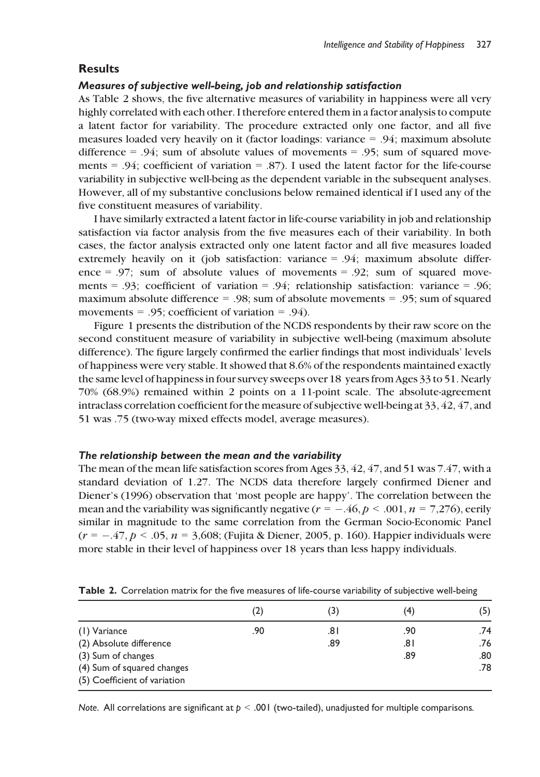## **Results**

#### Measures of subjective well-being, job and relationship satisfaction

As Table 2 shows, the five alternative measures of variability in happiness were all very highly correlated with each other. I therefore entered them in a factor analysis to compute a latent factor for variability. The procedure extracted only one factor, and all five measures loaded very heavily on it (factor loadings: variance = .94; maximum absolute difference  $= .94$ ; sum of absolute values of movements  $= .95$ ; sum of squared movements  $= .94$ ; coefficient of variation  $= .87$ ). I used the latent factor for the life-course variability in subjective well-being as the dependent variable in the subsequent analyses. However, all of my substantive conclusions below remained identical if I used any of the five constituent measures of variability.

I have similarly extracted a latent factor in life-course variability in job and relationship satisfaction via factor analysis from the five measures each of their variability. In both cases, the factor analysis extracted only one latent factor and all five measures loaded extremely heavily on it (job satisfaction: variance  $= .94$ ; maximum absolute difference  $= .97$ ; sum of absolute values of movements  $= .92$ ; sum of squared movements = .93; coefficient of variation = .94; relationship satisfaction: variance = .96; maximum absolute difference  $= .98$ ; sum of absolute movements  $= .95$ ; sum of squared movements = .95; coefficient of variation = .94).

Figure 1 presents the distribution of the NCDS respondents by their raw score on the second constituent measure of variability in subjective well-being (maximum absolute difference). The figure largely confirmed the earlier findings that most individuals' levels of happiness were very stable. It showed that 8.6% of the respondents maintained exactly the same level of happiness in four survey sweeps over 18 years from Ages 33 to 51. Nearly 70% (68.9%) remained within 2 points on a 11-point scale. The absolute-agreement intraclass correlation coefficient for the measure of subjective well-being at 33, 42, 47, and 51 was .75 (two-way mixed effects model, average measures).

#### The relationship between the mean and the variability

The mean of the mean life satisfaction scores from Ages 33, 42, 47, and 51 was 7.47, with a standard deviation of 1.27. The NCDS data therefore largely confirmed Diener and Diener's (1996) observation that 'most people are happy'. The correlation between the mean and the variability was significantly negative ( $r = -.46$ ,  $p < .001$ ,  $n = 7,276$ ), eerily similar in magnitude to the same correlation from the German Socio-Economic Panel  $(r = -.47, p < .05, n = 3,608$ ; (Fujita & Diener, 2005, p. 160). Happier individuals were more stable in their level of happiness over 18 years than less happy individuals.

|                                                            | (2) | (3)  | (4)  | (5) |
|------------------------------------------------------------|-----|------|------|-----|
| (1) Variance                                               | .90 | ا 8. | .90  | .74 |
| (2) Absolute difference                                    |     | .89  | ا 8. | .76 |
| (3) Sum of changes                                         |     |      | .89  | .80 |
| (4) Sum of squared changes<br>(5) Coefficient of variation |     |      |      | .78 |

Table 2. Correlation matrix for the five measures of life-course variability of subjective well-being

Note. All correlations are significant at  $p < .001$  (two-tailed), unadjusted for multiple comparisons.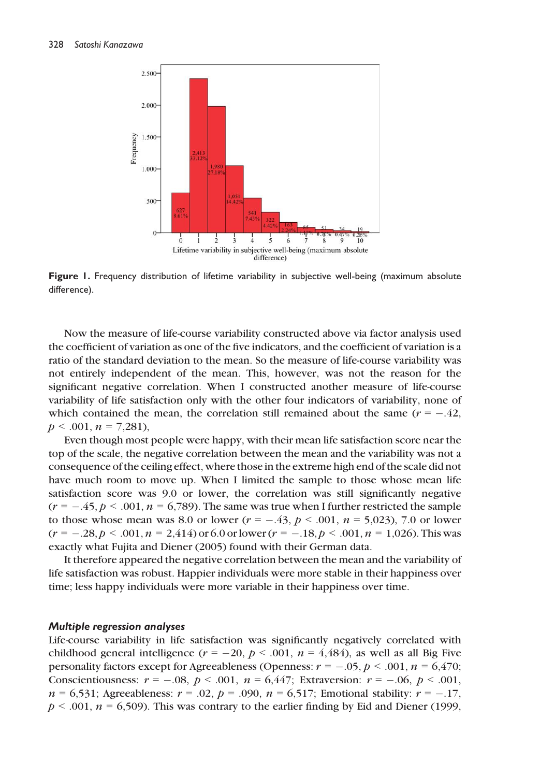

**Figure 1.** Frequency distribution of lifetime variability in subjective well-being (maximum absolute difference).

Now the measure of life-course variability constructed above via factor analysis used the coefficient of variation as one of the five indicators, and the coefficient of variation is a ratio of the standard deviation to the mean. So the measure of life-course variability was not entirely independent of the mean. This, however, was not the reason for the significant negative correlation. When I constructed another measure of life-course variability of life satisfaction only with the other four indicators of variability, none of which contained the mean, the correlation still remained about the same  $(r = -.42)$ ,  $p < .001$ ,  $n = 7,281$ ),

Even though most people were happy, with their mean life satisfaction score near the top of the scale, the negative correlation between the mean and the variability was not a consequence of the ceiling effect, where those in the extreme high end of the scale did not have much room to move up. When I limited the sample to those whose mean life satisfaction score was 9.0 or lower, the correlation was still significantly negative  $(r = -.45, p < .001, n = 6,789)$ . The same was true when I further restricted the sample to those whose mean was 8.0 or lower ( $r = -.43$ ,  $p < .001$ ,  $n = 5,023$ ), 7.0 or lower  $(r = -.28, p < .001, n = 2,414)$  or 6.0 or lower  $(r = -.18, p < .001, n = 1,026)$ . This was exactly what Fujita and Diener (2005) found with their German data.

It therefore appeared the negative correlation between the mean and the variability of life satisfaction was robust. Happier individuals were more stable in their happiness over time; less happy individuals were more variable in their happiness over time.

#### Multiple regression analyses

Life-course variability in life satisfaction was significantly negatively correlated with childhood general intelligence  $(r = -20, p < .001, n = 4,484)$ , as well as all Big Five personality factors except for Agreeableness (Openness:  $r = -.05$ ,  $p < .001$ ,  $n = 6,470$ ; Conscientiousness:  $r = -.08$ ,  $p < .001$ ,  $n = 6,447$ ; Extraversion:  $r = -.06$ ,  $p < .001$ ,  $n = 6,531$ ; Agreeableness:  $r = .02$ ,  $p = .090$ ,  $n = 6,517$ ; Emotional stability:  $r = -.17$ ,  $p < .001$ ,  $n = 6,509$ ). This was contrary to the earlier finding by Eid and Diener (1999,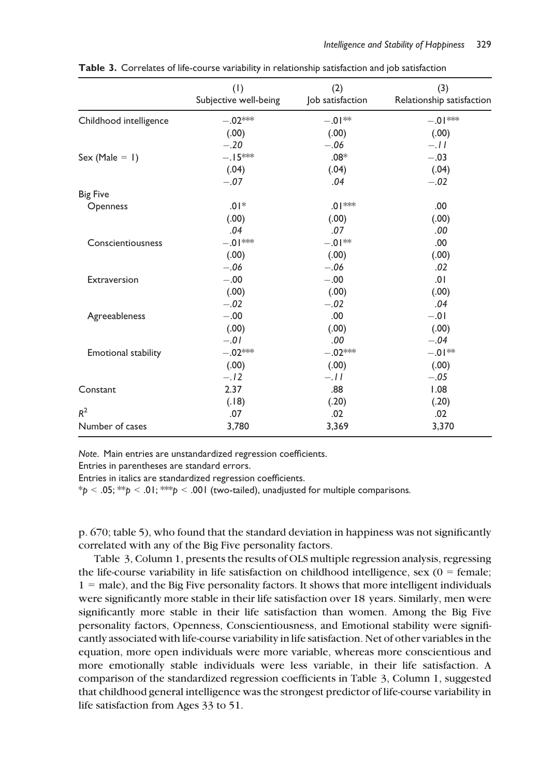|                        | (1)<br>Subjective well-being | (2)<br>Job satisfaction | (3)<br>Relationship satisfaction |
|------------------------|------------------------------|-------------------------|----------------------------------|
| Childhood intelligence | $-.02***$                    | $-.01**$                | $-.01***$                        |
|                        | (.00)                        | (.00)                   | (.00)                            |
|                        | $-.20$                       | $-.06$                  | $-.11$                           |
| Sex (Male = $1$ )      | $-.15***$                    | $.08*$                  | $-.03$                           |
|                        | (.04)                        | (.04)                   | (.04)                            |
|                        | $-.07$                       | .04                     | $-.02$                           |
| <b>Big Five</b>        |                              |                         |                                  |
| Openness               | $.01*$                       | $.01***$                | .00                              |
|                        | (.00)                        | (.00)                   | (.00)                            |
|                        | .04                          | .07                     | .00                              |
| Conscientiousness      | $-.01***$                    | $-.01**$                | .00                              |
|                        | (.00)                        | (.00)                   | (.00)                            |
|                        | $-.06$                       | $-.06$                  | .02                              |
| Extraversion           | $-.00$                       | $-.00$                  | .01                              |
|                        | (.00)                        | (.00)                   | (.00)                            |
|                        | $-.02$                       | $-.02$                  | .04                              |
| Agreeableness          | $-.00$                       | .00                     | $-.01$                           |
|                        | (.00)                        | (.00)                   | (.00)                            |
|                        | $-.01$                       | .00                     | $-.04$                           |
| Emotional stability    | $-.02***$                    | $-.02***$               | $-.01**$                         |
|                        | (.00)                        | (.00)                   | (.00)                            |
|                        | $-.12$                       | $-.11$                  | $-.05$                           |
| Constant               | 2.37                         | .88                     | 1.08                             |
|                        | (.18)                        | (.20)                   | (.20)                            |
| $R^2$                  | .07                          | .02                     | .02                              |
| Number of cases        | 3,780                        | 3,369                   | 3,370                            |

Table 3. Correlates of life-course variability in relationship satisfaction and job satisfaction

Note. Main entries are unstandardized regression coefficients.

Entries in parentheses are standard errors.

Entries in italics are standardized regression coefficients.

 $*_p$  < .05;  $*_p$  < .01;  $*_p$  < .001 (two-tailed), unadjusted for multiple comparisons.

p. 670; table 5), who found that the standard deviation in happiness was not significantly correlated with any of the Big Five personality factors.

Table 3, Column 1, presents the results of OLS multiple regression analysis, regressing the life-course variability in life satisfaction on childhood intelligence, sex  $(0 =$  female; 1 = male), and the Big Five personality factors. It shows that more intelligent individuals were significantly more stable in their life satisfaction over 18 years. Similarly, men were significantly more stable in their life satisfaction than women. Among the Big Five personality factors, Openness, Conscientiousness, and Emotional stability were significantly associated with life-course variability in life satisfaction. Net of other variables in the equation, more open individuals were more variable, whereas more conscientious and more emotionally stable individuals were less variable, in their life satisfaction. A comparison of the standardized regression coefficients in Table 3, Column 1, suggested that childhood general intelligence was the strongest predictor of life-course variability in life satisfaction from Ages 33 to 51.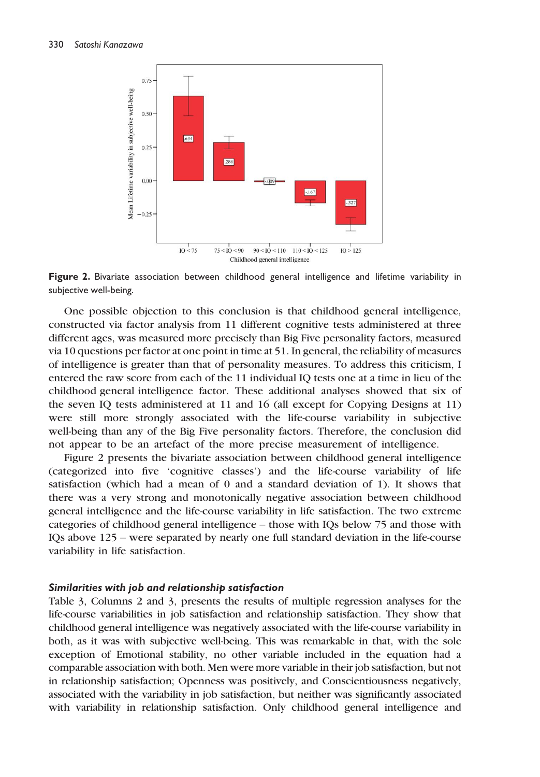

Figure 2. Bivariate association between childhood general intelligence and lifetime variability in subjective well-being.

One possible objection to this conclusion is that childhood general intelligence, constructed via factor analysis from 11 different cognitive tests administered at three different ages, was measured more precisely than Big Five personality factors, measured via 10 questions per factor at one point in time at 51. In general, the reliability of measures of intelligence is greater than that of personality measures. To address this criticism, I entered the raw score from each of the 11 individual IQ tests one at a time in lieu of the childhood general intelligence factor. These additional analyses showed that six of the seven IQ tests administered at 11 and 16 (all except for Copying Designs at 11) were still more strongly associated with the life-course variability in subjective well-being than any of the Big Five personality factors. Therefore, the conclusion did not appear to be an artefact of the more precise measurement of intelligence.

Figure 2 presents the bivariate association between childhood general intelligence (categorized into five 'cognitive classes') and the life-course variability of life satisfaction (which had a mean of 0 and a standard deviation of 1). It shows that there was a very strong and monotonically negative association between childhood general intelligence and the life-course variability in life satisfaction. The two extreme categories of childhood general intelligence – those with IQs below 75 and those with IQs above 125 – were separated by nearly one full standard deviation in the life-course variability in life satisfaction.

#### Similarities with job and relationship satisfaction

Table 3, Columns 2 and 3, presents the results of multiple regression analyses for the life-course variabilities in job satisfaction and relationship satisfaction. They show that childhood general intelligence was negatively associated with the life-course variability in both, as it was with subjective well-being. This was remarkable in that, with the sole exception of Emotional stability, no other variable included in the equation had a comparable association with both. Men were more variable in their job satisfaction, but not in relationship satisfaction; Openness was positively, and Conscientiousness negatively, associated with the variability in job satisfaction, but neither was significantly associated with variability in relationship satisfaction. Only childhood general intelligence and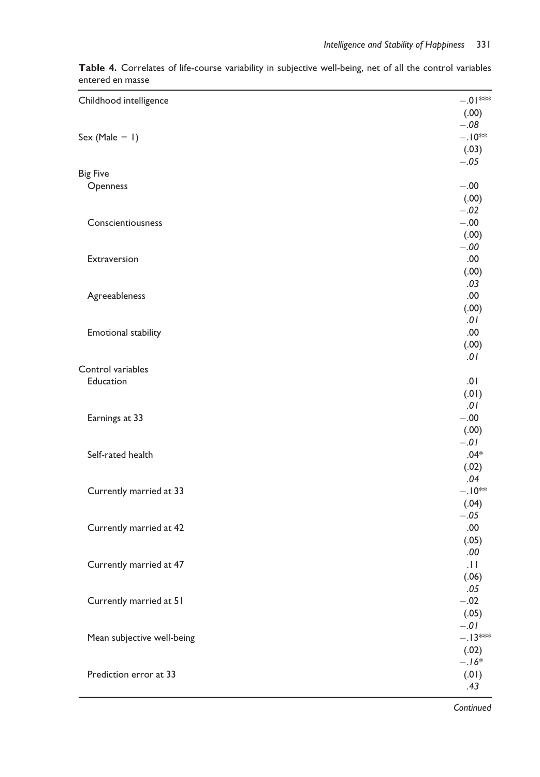| Childhood intelligence     | $-.01***$    |
|----------------------------|--------------|
|                            | (.00)        |
|                            | $-.08$       |
| Sex (Male = $1$ )          | $-.10**$     |
|                            | (.03)        |
|                            | $-.05$       |
| <b>Big Five</b>            |              |
| Openness                   | $-.00$       |
|                            | (.00)        |
|                            | $-.02$       |
| Conscientiousness          | $-.00$       |
|                            | (.00)        |
|                            | $-.00$       |
| Extraversion               | .00          |
|                            | (.00)        |
|                            | .03          |
| Agreeableness              | .00          |
|                            | (.00)        |
|                            | .01          |
| Emotional stability        | .00          |
|                            | (.00)<br>.01 |
| Control variables          |              |
| Education                  | .01          |
|                            | (.01)        |
|                            | .01          |
| Earnings at 33             | $-.00$       |
|                            | (.00)        |
|                            | $-.01$       |
| Self-rated health          | $.04*$       |
|                            | (.02)        |
|                            | .04          |
| Currently married at 33    | $-.10**$     |
|                            | (.04)        |
|                            | $-.05$       |
| Currently married at 42    | .00          |
|                            | (.05)        |
|                            | .00          |
| Currently married at 47    | .11          |
|                            | (.06)        |
|                            | .05          |
| Currently married at 51    | $-.02$       |
|                            | (.05)        |
|                            | $-0.01$      |
| Mean subjective well-being | $-.13***$    |
|                            | (.02)        |
|                            | $-.16*$      |
| Prediction error at 33     | (.01)        |
|                            | .43          |

|                  | Table 4. Correlates of life-course variability in subjective well-being, net of all the control variables |  |  |  |  |
|------------------|-----------------------------------------------------------------------------------------------------------|--|--|--|--|
| entered en masse |                                                                                                           |  |  |  |  |

**Continued**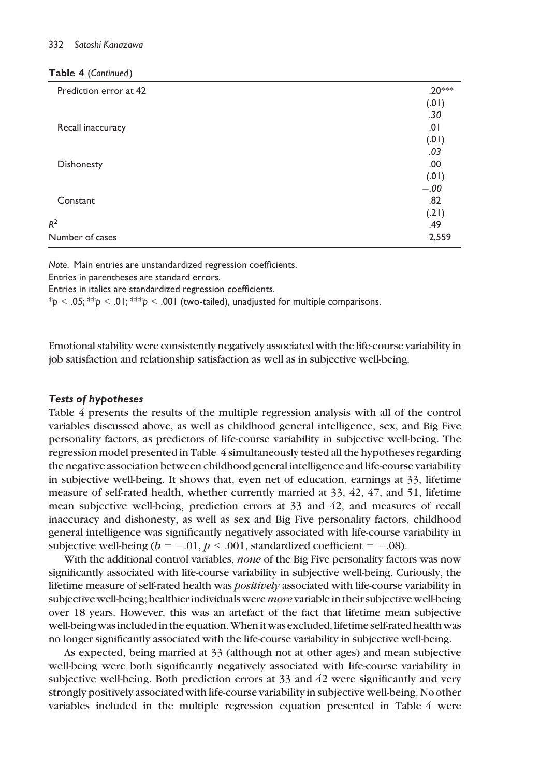Table 4 (Continued)

| Prediction error at 42 | .20 <sup>***</sup> |
|------------------------|--------------------|
|                        | (.01)              |
|                        | .30                |
| Recall inaccuracy      | .01                |
|                        | (.01)              |
|                        | .03                |
| Dishonesty             | .00                |
|                        | (.01)              |
|                        | $-.00$             |
| Constant               | .82                |
|                        | (.21)              |
| $R^2$                  | .49                |
| Number of cases        | 2,559              |
|                        |                    |

Note. Main entries are unstandardized regression coefficients.

Entries in parentheses are standard errors.

Entries in italics are standardized regression coefficients.

 $*$ p < .05;  $*$  $\cancel{\ }$ p < .01;  $*$  $\cancel{\ }$ p < .001 (two-tailed), unadjusted for multiple comparisons.

Emotional stability were consistently negatively associated with the life-course variability in job satisfaction and relationship satisfaction as well as in subjective well-being.

#### Tests of hypotheses

Table 4 presents the results of the multiple regression analysis with all of the control variables discussed above, as well as childhood general intelligence, sex, and Big Five personality factors, as predictors of life-course variability in subjective well-being. The regression model presented in Table 4 simultaneously tested all the hypotheses regarding the negative association between childhood general intelligence and life-course variability in subjective well-being. It shows that, even net of education, earnings at 33, lifetime measure of self-rated health, whether currently married at 33, 42, 47, and 51, lifetime mean subjective well-being, prediction errors at 33 and 42, and measures of recall inaccuracy and dishonesty, as well as sex and Big Five personality factors, childhood general intelligence was significantly negatively associated with life-course variability in subjective well-being ( $b = -.01, p < .001$ , standardized coefficient = -.08).

With the additional control variables, *none* of the Big Five personality factors was now significantly associated with life-course variability in subjective well-being. Curiously, the lifetime measure of self-rated health was positively associated with life-course variability in subjective well-being; healthier individuals were *more* variable in their subjective well-being over 18 years. However, this was an artefact of the fact that lifetime mean subjective well-being was included in the equation.When itwas excluded, lifetime self-rated healthwas no longer significantly associated with the life-course variability in subjective well-being.

As expected, being married at 33 (although not at other ages) and mean subjective well-being were both significantly negatively associated with life-course variability in subjective well-being. Both prediction errors at 33 and 42 were significantly and very strongly positively associated with life-course variability in subjective well-being. No other variables included in the multiple regression equation presented in Table 4 were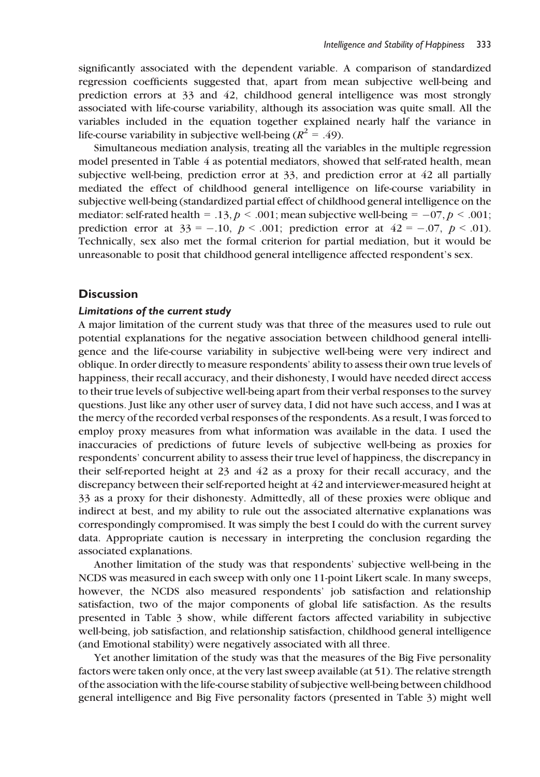significantly associated with the dependent variable. A comparison of standardized regression coefficients suggested that, apart from mean subjective well-being and prediction errors at 33 and 42, childhood general intelligence was most strongly associated with life-course variability, although its association was quite small. All the variables included in the equation together explained nearly half the variance in life-course variability in subjective well-being  $(R^2 = .49)$ .

Simultaneous mediation analysis, treating all the variables in the multiple regression model presented in Table 4 as potential mediators, showed that self-rated health, mean subjective well-being, prediction error at 33, and prediction error at 42 all partially mediated the effect of childhood general intelligence on life-course variability in subjective well-being (standardized partial effect of childhood general intelligence on the mediator: self-rated health = .13,  $p < .001$ ; mean subjective well-being =  $-07$ ,  $p < .001$ ; prediction error at  $33 = -.10$ ,  $p < .001$ ; prediction error at  $42 = -.07$ ,  $p < .01$ ). Technically, sex also met the formal criterion for partial mediation, but it would be unreasonable to posit that childhood general intelligence affected respondent's sex.

#### **Discussion**

#### Limitations of the current study

A major limitation of the current study was that three of the measures used to rule out potential explanations for the negative association between childhood general intelligence and the life-course variability in subjective well-being were very indirect and oblique. In order directly to measure respondents' ability to assess their own true levels of happiness, their recall accuracy, and their dishonesty, I would have needed direct access to their true levels of subjective well-being apart from their verbal responses to the survey questions. Just like any other user of survey data, I did not have such access, and I was at the mercy of the recorded verbal responses of the respondents. As a result, I was forced to employ proxy measures from what information was available in the data. I used the inaccuracies of predictions of future levels of subjective well-being as proxies for respondents' concurrent ability to assess their true level of happiness, the discrepancy in their self-reported height at 23 and 42 as a proxy for their recall accuracy, and the discrepancy between their self-reported height at 42 and interviewer-measured height at 33 as a proxy for their dishonesty. Admittedly, all of these proxies were oblique and indirect at best, and my ability to rule out the associated alternative explanations was correspondingly compromised. It was simply the best I could do with the current survey data. Appropriate caution is necessary in interpreting the conclusion regarding the associated explanations.

Another limitation of the study was that respondents' subjective well-being in the NCDS was measured in each sweep with only one 11-point Likert scale. In many sweeps, however, the NCDS also measured respondents' job satisfaction and relationship satisfaction, two of the major components of global life satisfaction. As the results presented in Table 3 show, while different factors affected variability in subjective well-being, job satisfaction, and relationship satisfaction, childhood general intelligence (and Emotional stability) were negatively associated with all three.

Yet another limitation of the study was that the measures of the Big Five personality factors were taken only once, at the very last sweep available (at 51). The relative strength of the association with the life-course stability of subjective well-being between childhood general intelligence and Big Five personality factors (presented in Table 3) might well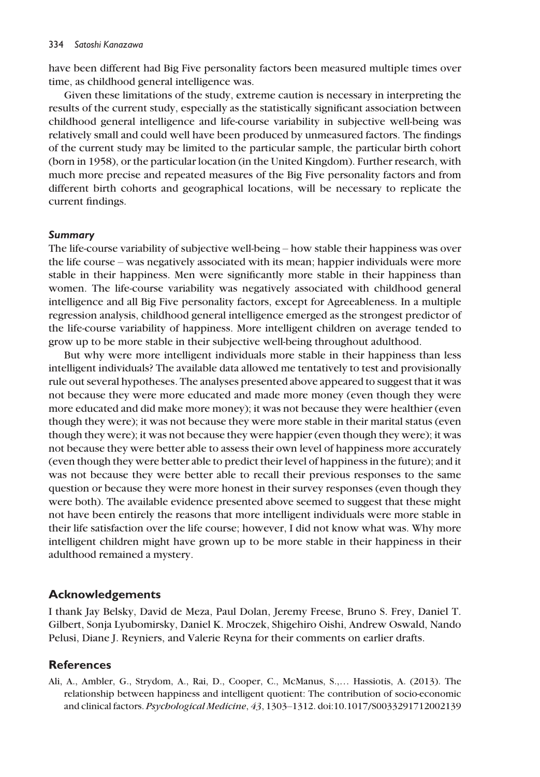have been different had Big Five personality factors been measured multiple times over time, as childhood general intelligence was.

Given these limitations of the study, extreme caution is necessary in interpreting the results of the current study, especially as the statistically significant association between childhood general intelligence and life-course variability in subjective well-being was relatively small and could well have been produced by unmeasured factors. The findings of the current study may be limited to the particular sample, the particular birth cohort (born in 1958), or the particular location (in the United Kingdom). Further research, with much more precise and repeated measures of the Big Five personality factors and from different birth cohorts and geographical locations, will be necessary to replicate the current findings.

#### Summary

The life-course variability of subjective well-being – how stable their happiness was over the life course – was negatively associated with its mean; happier individuals were more stable in their happiness. Men were significantly more stable in their happiness than women. The life-course variability was negatively associated with childhood general intelligence and all Big Five personality factors, except for Agreeableness. In a multiple regression analysis, childhood general intelligence emerged as the strongest predictor of the life-course variability of happiness. More intelligent children on average tended to grow up to be more stable in their subjective well-being throughout adulthood.

But why were more intelligent individuals more stable in their happiness than less intelligent individuals? The available data allowed me tentatively to test and provisionally rule out several hypotheses. The analyses presented above appeared to suggest that it was not because they were more educated and made more money (even though they were more educated and did make more money); it was not because they were healthier (even though they were); it was not because they were more stable in their marital status (even though they were); it was not because they were happier (even though they were); it was not because they were better able to assess their own level of happiness more accurately (even though they were better able to predict their level of happiness in the future); and it was not because they were better able to recall their previous responses to the same question or because they were more honest in their survey responses (even though they were both). The available evidence presented above seemed to suggest that these might not have been entirely the reasons that more intelligent individuals were more stable in their life satisfaction over the life course; however, I did not know what was. Why more intelligent children might have grown up to be more stable in their happiness in their adulthood remained a mystery.

#### Acknowledgements

I thank Jay Belsky, David de Meza, Paul Dolan, Jeremy Freese, Bruno S. Frey, Daniel T. Gilbert, Sonja Lyubomirsky, Daniel K. Mroczek, Shigehiro Oishi, Andrew Oswald, Nando Pelusi, Diane J. Reyniers, and Valerie Reyna for their comments on earlier drafts.

#### References

Ali, A., Ambler, G., Strydom, A., Rai, D., Cooper, C., McManus, S.,… Hassiotis, A. (2013). The relationship between happiness and intelligent quotient: The contribution of socio-economic and clinical factors. Psychological Medicine, 43, 1303–1312. doi:10.1017/S0033291712002139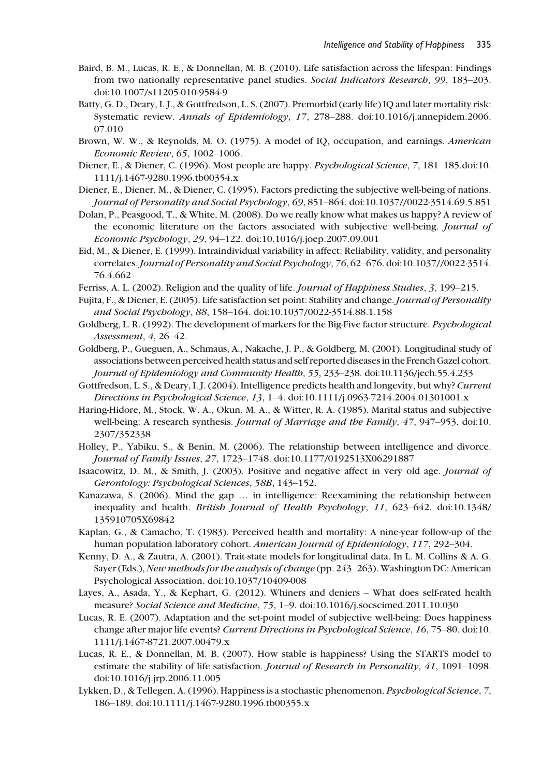- Baird, B. M., Lucas, R. E., & Donnellan, M. B. (2010). Life satisfaction across the lifespan: Findings from two nationally representative panel studies. Social Indicators Research, 99, 183–203. doi:10.1007/s11205-010-9584-9
- Batty, G. D., Deary, I. J., & Gottfredson, L. S. (2007). Premorbid (early life) IQ and later mortality risk: Systematic review. Annals of Epidemiology, 17, 278–288. doi:10.1016/j.annepidem.2006. 07.010
- Brown, W. W., & Reynolds, M. O. (1975). A model of IQ, occupation, and earnings. American Economic Review, 65, 1002–1006.
- Diener, E., & Diener, C. (1996). Most people are happy. Psychological Science, 7, 181–185.doi:10. 1111/j.1467-9280.1996.tb00354.x
- Diener, E., Diener, M., & Diener, C. (1995). Factors predicting the subjective well-being of nations. Journal of Personality and Social Psychology, 69, 851–864. doi:10.1037//0022-3514.69.5.851
- Dolan, P., Peasgood, T., & White, M. (2008). Do we really know what makes us happy? A review of the economic literature on the factors associated with subjective well-being. Journal of Economic Psychology, 29, 94–122. doi:10.1016/j.joep.2007.09.001
- Eid, M., & Diener, E. (1999). Intraindividual variability in affect: Reliability, validity, and personality correlates.Journal of Personality and Social Psychology, 76, 62–676. doi:10.1037//0022-3514. 76.4.662
- Ferriss, A. L. (2002). Religion and the quality of life. Journal of Happiness Studies, 3, 199–215.
- Fujita, F., & Diener, E. (2005). Life satisfaction set point: Stability and change. Journal of Personality and Social Psychology, 88, 158–164. doi:10.1037/0022-3514.88.1.158
- Goldberg, L. R. (1992). The development of markers for the Big-Five factor structure. Psychological Assessment, 4, 26–42.
- Goldberg, P., Gueguen, A., Schmaus, A., Nakache, J. P., & Goldberg, M. (2001). Longitudinal study of associations between perceived health status and self reported diseases in the French Gazel cohort. Journal of Epidemiology and Community Health, 55, 233–238. doi:10.1136/jech.55.4.233
- Gottfredson, L. S., & Deary, I. J. (2004). Intelligence predicts health and longevity, but why? Current Directions in Psychological Science, 13, 1–4. doi:10.1111/j.0963-7214.2004.01301001.x
- Haring-Hidore, M., Stock, W. A., Okun, M. A., & Witter, R. A. (1985). Marital status and subjective well-being: A research synthesis. Journal of Marriage and the Family, 47, 947–953. doi:10. 2307/352338
- Holley, P., Yabiku, S., & Benin, M. (2006). The relationship between intelligence and divorce. Journal of Family Issues, 27, 1723–1748. doi:10.1177/0192513X06291887
- Isaacowitz, D. M., & Smith, J. (2003). Positive and negative affect in very old age. Journal of Gerontology: Psychological Sciences, 58B, 143–152.
- Kanazawa, S. (2006). Mind the gap … in intelligence: Reexamining the relationship between inequality and health. British Journal of Health Psychology, 11, 623–642. doi:10.1348/ 135910705X69842
- Kaplan, G., & Camacho, T. (1983). Perceived health and mortality: A nine-year follow-up of the human population laboratory cohort. American Journal of Epidemiology, 117, 292–304.
- Kenny, D. A., & Zautra, A. (2001). Trait-state models for longitudinal data. In L. M. Collins & A. G. Sayer (Eds.), New methods for the analysis of change (pp. 243-263). Washington DC: American Psychological Association. doi:10.1037/10409-008
- Layes, A., Asada, Y., & Kephart, G. (2012). Whiners and deniers What does self-rated health measure? Social Science and Medicine, 75, 1–9. doi:10.1016/j.socscimed.2011.10.030
- Lucas, R. E. (2007). Adaptation and the set-point model of subjective well-being: Does happiness change after major life events? Current Directions in Psychological Science, 16, 75–80. doi:10. 1111/j.1467-8721.2007.00479.x
- Lucas, R. E., & Donnellan, M. B. (2007). How stable is happiness? Using the STARTS model to estimate the stability of life satisfaction. Journal of Research in Personality, 41, 1091-1098. doi:10.1016/j.jrp.2006.11.005
- Lykken, D., & Tellegen, A. (1996). Happiness is a stochastic phenomenon. Psychological Science, 7, 186–189. doi:10.1111/j.1467-9280.1996.tb00355.x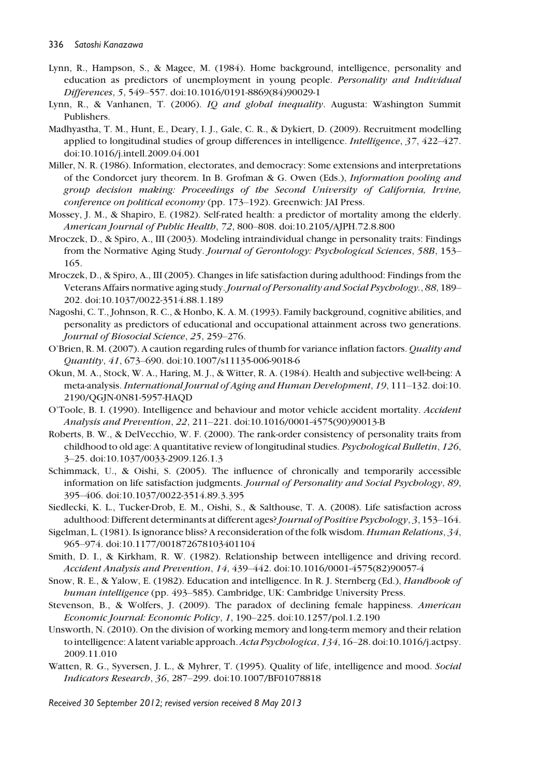- Lynn, R., Hampson, S., & Magee, M. (1984). Home background, intelligence, personality and education as predictors of unemployment in young people. Personality and Individual Differences, 5, 549–557. doi:10.1016/0191-8869(84)90029-1
- Lynn, R., & Vanhanen, T. (2006). IQ and global inequality. Augusta: Washington Summit Publishers.
- Madhyastha, T. M., Hunt, E., Deary, I. J., Gale, C. R., & Dykiert, D. (2009). Recruitment modelling applied to longitudinal studies of group differences in intelligence. Intelligence, 37, 422–427. doi:10.1016/j.intell.2009.04.001
- Miller, N. R. (1986). Information, electorates, and democracy: Some extensions and interpretations of the Condorcet jury theorem. In B. Grofman & G. Owen (Eds.), Information pooling and group decision making: Proceedings of the Second University of California, Irvine, conference on political economy (pp. 173–192). Greenwich: JAI Press.
- Mossey, J. M., & Shapiro, E. (1982). Self-rated health: a predictor of mortality among the elderly. American Journal of Public Health, 72, 800–808. doi:10.2105/AJPH.72.8.800
- Mroczek, D., & Spiro, A., III (2003). Modeling intraindividual change in personality traits: Findings from the Normative Aging Study. Journal of Gerontology: Psychological Sciences, 58B, 153– 165.
- Mroczek, D., & Spiro, A., III (2005). Changes in life satisfaction during adulthood: Findings from the Veterans Affairs normative aging study. Journal of Personality and Social Psychology., 88, 189-202. doi:10.1037/0022-3514.88.1.189
- Nagoshi, C. T., Johnson, R. C., & Honbo, K. A. M. (1993). Family background, cognitive abilities, and personality as predictors of educational and occupational attainment across two generations. Journal of Biosocial Science, 25, 259–276.
- O'Brien, R. M. (2007). A caution regarding rules of thumb for variance inflation factors. Quality and Quantity, 41, 673–690. doi:10.1007/s11135-006-9018-6
- Okun, M. A., Stock, W. A., Haring, M. J., & Witter, R. A. (1984). Health and subjective well-being: A meta-analysis. International Journal of Aging and Human Development, 19, 111–132. doi:10. 2190/QGJN-0N81-5957-HAQD
- O'Toole, B. I. (1990). Intelligence and behaviour and motor vehicle accident mortality. Accident Analysis and Prevention, 22, 211–221. doi:10.1016/0001-4575(90)90013-B
- Roberts, B. W., & DelVecchio, W. F. (2000). The rank-order consistency of personality traits from childhood to old age: A quantitative review of longitudinal studies. Psychological Bulletin, 126, 3–25. doi:10.1037/0033-2909.126.1.3
- Schimmack, U., & Oishi, S. (2005). The influence of chronically and temporarily accessible information on life satisfaction judgments. Journal of Personality and Social Psychology, 89, 395–406. doi:10.1037/0022-3514.89.3.395
- Siedlecki, K. L., Tucker-Drob, E. M., Oishi, S., & Salthouse, T. A. (2008). Life satisfaction across adulthood: Different determinants at different ages? Journal of Positive Psychology, 3, 153–164.
- Sigelman, L. (1981). Is ignorance bliss? A reconsideration of the folk wisdom. Human Relations, 34, 965–974. doi:10.1177/001872678103401104
- Smith, D. I., & Kirkham, R. W. (1982). Relationship between intelligence and driving record. Accident Analysis and Prevention, 14, 439–442. doi:10.1016/0001-4575(82)90057-4
- Snow, R. E., & Yalow, E. (1982). Education and intelligence. In R. J. Sternberg (Ed.), Handbook of human intelligence (pp. 493–585). Cambridge, UK: Cambridge University Press.
- Stevenson, B., & Wolfers, J. (2009). The paradox of declining female happiness. American Economic Journal: Economic Policy, 1, 190–225. doi:10.1257/pol.1.2.190
- Unsworth, N. (2010). On the division of working memory and long-term memory and their relation to intelligence: A latent variable approach. Acta Psychologica, 134, 16–28. doi:10.1016/j.actpsy. 2009.11.010
- Watten, R. G., Syversen, J. L., & Myhrer, T. (1995). Quality of life, intelligence and mood. Social Indicators Research, 36, 287–299. doi:10.1007/BF01078818

Received 30 September 2012; revised version received 8 May 2013